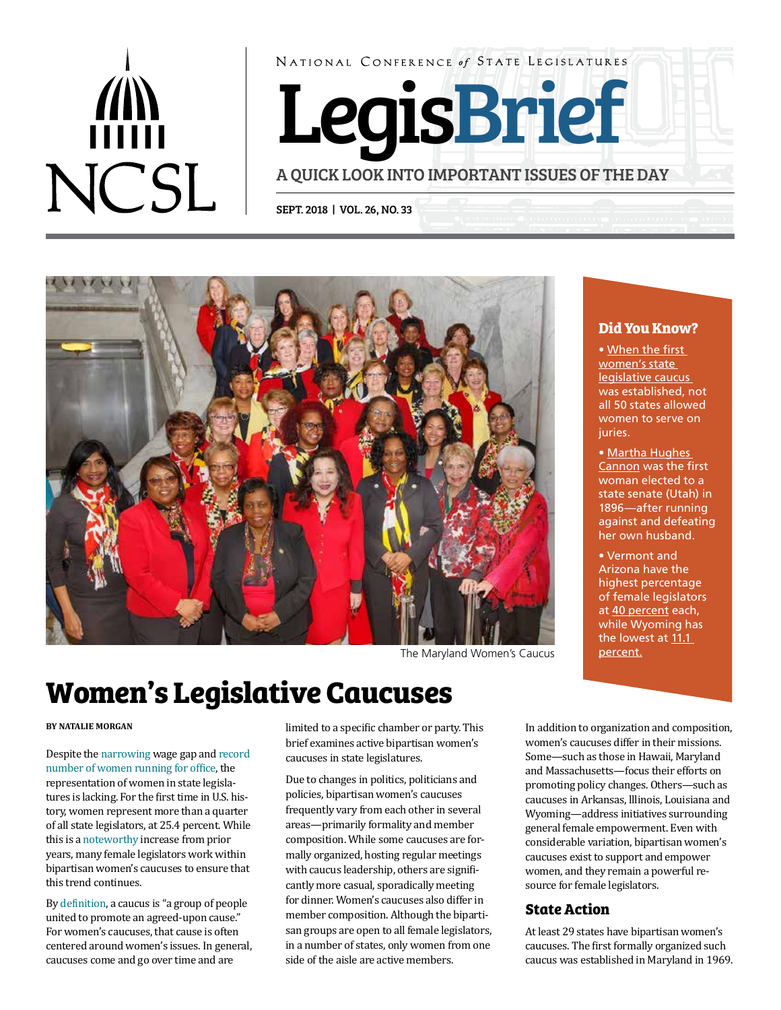# $\binom{n}{n}$ **NCSL**

NATIONAL CONFERENCE of STATE LEGISLATURES

LegisBrief

A QUICK LOOK INTO IMPORTANT ISSUES OF THE DAY

SEPT. 2018 | VOL. 26, NO. 33



The Maryland Women's Caucus [percent](http://www.ncsl.org/legislators-staff/legislators/womens-legislative-network/women-in-state-legislatures-for-2018.aspx).

## **Women's Legislative Caucuses**

#### **BY NATALIE MORGAN**

Despite the [narrowing](http://www.pewresearch.org/fact-tank/2018/04/09/gender-pay-gap-facts/) wage gap and [record](https://www.politico.com/story/2018/03/08/women-rule-midterms-443267)  [number of women running for office](https://www.politico.com/story/2018/03/08/women-rule-midterms-443267), the representation of women in state legislatures is lacking. For the first time in U.S. history, women represent more than a quarter of all state legislators, at 25.4 percent. While this is a [noteworthy](http://www.ncsl.org/legislators-staff/legislators/womens-legislative-network/women-in-state-legislatures-for-2018.aspx) increase from prior years, many female legislators work within bipartisan women's caucuses to ensure that this trend continues.

By [definition](https://www.merriam-webster.com/dictionary/caucus), a caucus is "a group of people united to promote an agreed-upon cause." For women's caucuses, that cause is often centered around women's issues. In general, caucuses come and go over time and are

limited to a specific chamber or party. This brief examines active bipartisan women's caucuses in state legislatures.

Due to changes in politics, politicians and policies, bipartisan women's caucuses frequently vary from each other in several areas—primarily formality and member composition. While some caucuses are formally organized, hosting regular meetings with caucus leadership, others are significantly more casual, sporadically meeting for dinner. Women's caucuses also differ in member composition. Although the bipartisan groups are open to all female legislators, in a number of states, only women from one side of the aisle are active members.

#### **Did You Know?**

• [When the first](https://first100years.org.uk/1481-2/)  [women's state](https://first100years.org.uk/1481-2/)  [legislative caucus](https://first100years.org.uk/1481-2/)  was established, not all 50 states allowed women to serve on juries.

• [Martha Hughes](https://historytogo.utah.gov/people/marthahughescannon.html)  [Cannon](https://historytogo.utah.gov/people/marthahughescannon.html) was the first woman elected to a state senate [\(Utah\) in](https://historytogo.utah.gov/people/marthahughescannon.html)  [1896—](https://historytogo.utah.gov/people/marthahughescannon.html)after running against and defeating her own husband.

• Vermont and Arizona have the highest percentage of female legislators at [40 percent](http://www.ncsl.org/legislators-staff/legislators/womens-legislative-network/women-in-state-legislatures-for-2018.aspx) each, while Wyoming has the lowest at 11.1

In addition to organization and composition, women's caucuses differ in their missions. Some—such as those in Hawaii, Maryland and Massachusetts—focus their efforts on promoting policy changes. Others—such as caucuses in Arkansas, lllinois, Louisiana and Wyoming—address initiatives surrounding general female empowerment. Even with considerable variation, bipartisan women's caucuses exist to support and empower women, and they remain a powerful resource for female legislators.

#### **State Action**

At least 29 states have bipartisan women's caucuses. The first formally organized such caucus was established in Maryland in 1969.